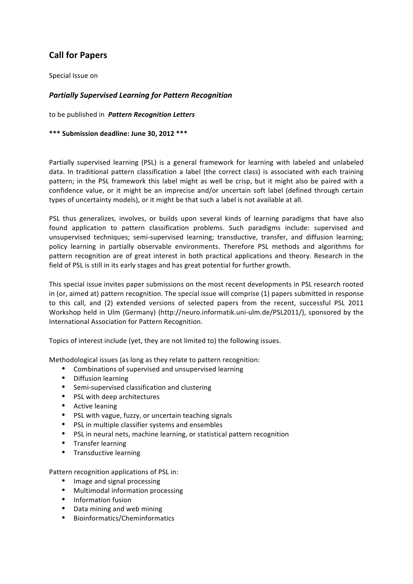# **Call for Papers**

Special Issue on

## **Partially Supervised Learning for Pattern Recognition**

to be published in **Pattern Recognition Letters** 

\*\*\* Submission deadline: June 30, 2012 \*\*\*

Partially supervised learning (PSL) is a general framework for learning with labeled and unlabeled data. In traditional pattern classification a label (the correct class) is associated with each training pattern; in the PSL framework this label might as well be crisp, but it might also be paired with a confidence value, or it might be an imprecise and/or uncertain soft label (defined through certain types of uncertainty models), or it might be that such a label is not available at all.

PSL thus generalizes, involves, or builds upon several kinds of learning paradigms that have also found application to pattern classification problems. Such paradigms include: supervised and unsupervised techniques; semi-supervised learning; transductive, transfer, and diffusion learning; policy learning in partially observable environments. Therefore PSL methods and algorithms for pattern recognition are of great interest in both practical applications and theory. Research in the field of PSL is still in its early stages and has great potential for further growth.

This special issue invites paper submissions on the most recent developments in PSL research rooted in (or, aimed at) pattern recognition. The special issue will comprise (1) papers submitted in response to this call, and (2) extended versions of selected papers from the recent, successful PSL 2011 Workshop held in Ulm (Germany) (http://neuro.informatik.uni-ulm.de/PSL2011/), sponsored by the International Association for Pattern Recognition.

Topics of interest include (yet, they are not limited to) the following issues.

Methodological issues (as long as they relate to pattern recognition:

- Combinations of supervised and unsupervised learning
- Diffusion learning
- Semi-supervised classification and clustering
- PSL with deep architectures
- Active leaning
- PSL with vague, fuzzy, or uncertain teaching signals
- PSL in multiple classifier systems and ensembles
- PSL in neural nets, machine learning, or statistical pattern recognition
- Transfer learning
- Transductive learning

Pattern recognition applications of PSL in:

- Image and signal processing
- Multimodal information processing
- Information fusion
- Data mining and web mining
- Bioinformatics/Cheminformatics